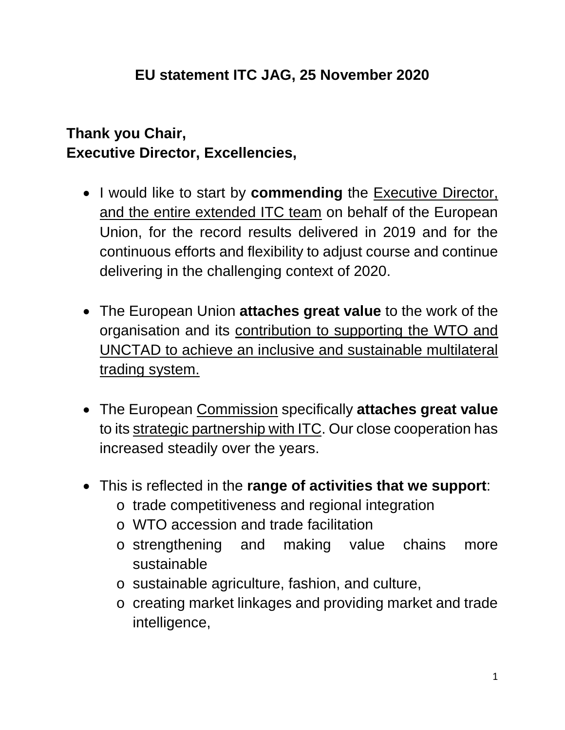## **Thank you Chair, Executive Director, Excellencies,**

- I would like to start by **commending** the Executive Director, and the entire extended ITC team on behalf of the European Union, for the record results delivered in 2019 and for the continuous efforts and flexibility to adjust course and continue delivering in the challenging context of 2020.
- The European Union **attaches great value** to the work of the organisation and its contribution to supporting the WTO and UNCTAD to achieve an inclusive and sustainable multilateral trading system.
- The European Commission specifically **attaches great value** to its strategic partnership with ITC. Our close cooperation has increased steadily over the years.
- This is reflected in the **range of activities that we support**:
	- o trade competitiveness and regional integration
	- o WTO accession and trade facilitation
	- o strengthening and making value chains more sustainable
	- o sustainable agriculture, fashion, and culture,
	- o creating market linkages and providing market and trade intelligence,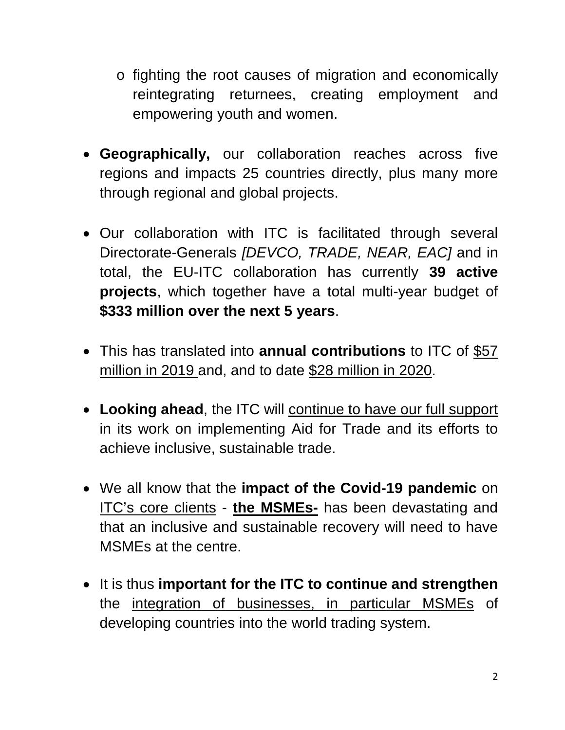- o fighting the root causes of migration and economically reintegrating returnees, creating employment and empowering youth and women.
- **Geographically,** our collaboration reaches across five regions and impacts 25 countries directly, plus many more through regional and global projects.
- Our collaboration with ITC is facilitated through several Directorate-Generals *[DEVCO, TRADE, NEAR, EAC]* and in total, the EU-ITC collaboration has currently **39 active projects**, which together have a total multi-year budget of **\$333 million over the next 5 years**.
- This has translated into **annual contributions** to ITC of \$57 million in 2019 and, and to date \$28 million in 2020.
- **Looking ahead**, the ITC will continue to have our full support in its work on implementing Aid for Trade and its efforts to achieve inclusive, sustainable trade.
- We all know that the **impact of the Covid-19 pandemic** on ITC's core clients - **the MSMEs-** has been devastating and that an inclusive and sustainable recovery will need to have MSMEs at the centre.
- It is thus **important for the ITC to continue and strengthen** the integration of businesses, in particular MSMEs of developing countries into the world trading system.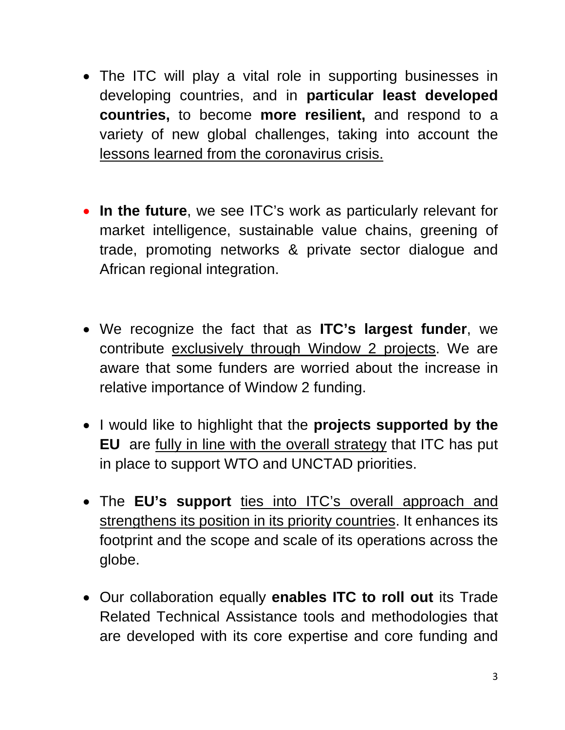- The ITC will play a vital role in supporting businesses in developing countries, and in **particular least developed countries,** to become **more resilient,** and respond to a variety of new global challenges, taking into account the lessons learned from the coronavirus crisis.
- **In the future**, we see ITC's work as particularly relevant for market intelligence, sustainable value chains, greening of trade, promoting networks & private sector dialogue and African regional integration.
- We recognize the fact that as **ITC's largest funder**, we contribute exclusively through Window 2 projects. We are aware that some funders are worried about the increase in relative importance of Window 2 funding.
- I would like to highlight that the **projects supported by the EU** are fully in line with the overall strategy that ITC has put in place to support WTO and UNCTAD priorities.
- The **EU's support** ties into ITC's overall approach and strengthens its position in its priority countries. It enhances its footprint and the scope and scale of its operations across the globe.
- Our collaboration equally **enables ITC to roll out** its Trade Related Technical Assistance tools and methodologies that are developed with its core expertise and core funding and